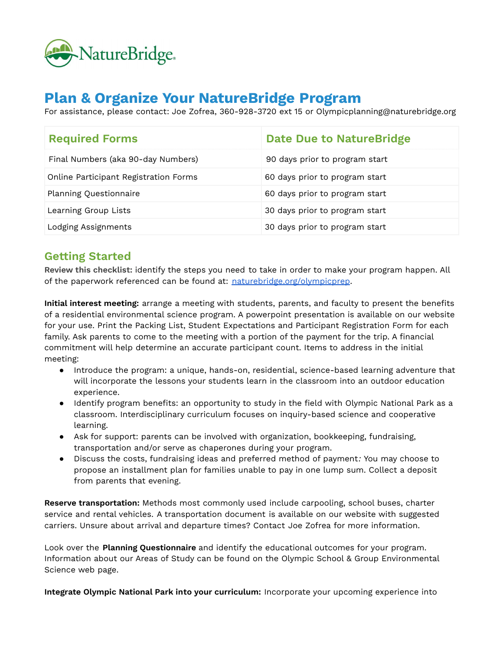

# **Plan & Organize Your NatureBridge Program**

For assistance, please contact: Joe Zofrea, 360-928-3720 ext 15 or Olympicplanning@naturebridge.org

| <b>Required Forms</b>                 | Date Due to Nature Bridge      |
|---------------------------------------|--------------------------------|
| Final Numbers (aka 90-day Numbers)    | 90 days prior to program start |
| Online Participant Registration Forms | 60 days prior to program start |
| <b>Planning Questionnaire</b>         | 60 days prior to program start |
| Learning Group Lists                  | 30 days prior to program start |
| Lodging Assignments                   | 30 days prior to program start |

#### **Getting Started**

**Review this checklist:** identify the steps you need to take in order to make your program happen. All of the paperwork referenced can be found at: [naturebridge.org/olympicprep](http://naturebridge.org/olympicprep).

**Initial interest meeting:** arrange a meeting with students, parents, and faculty to present the benefits of a residential environmental science program. A powerpoint presentation is available on our website for your use. Print the Packing List, Student Expectations and Participant Registration Form for each family. Ask parents to come to the meeting with a portion of the payment for the trip. A financial commitment will help determine an accurate participant count. Items to address in the initial meeting:

- Introduce the program: a unique, hands-on, residential, science-based learning adventure that will incorporate the lessons your students learn in the classroom into an outdoor education experience.
- Identify program benefits: an opportunity to study in the field with Olympic National Park as a classroom. Interdisciplinary curriculum focuses on inquiry-based science and cooperative learning.
- Ask for support: parents can be involved with organization, bookkeeping, fundraising, transportation and/or serve as chaperones during your program.
- Discuss the costs, fundraising ideas and preferred method of payment*:* You may choose to propose an installment plan for families unable to pay in one lump sum. Collect a deposit from parents that evening.

**Reserve transportation:** Methods most commonly used include carpooling, school buses, charter service and rental vehicles. A transportation document is available on our website with suggested carriers. Unsure about arrival and departure times? Contact Joe Zofrea for more information.

Look over the **Planning Questionnaire** and identify the educational outcomes for your program. Information about our Areas of Study can be found on the Olympic School & Group Environmental Science web page.

**Integrate Olympic National Park into your curriculum:** Incorporate your upcoming experience into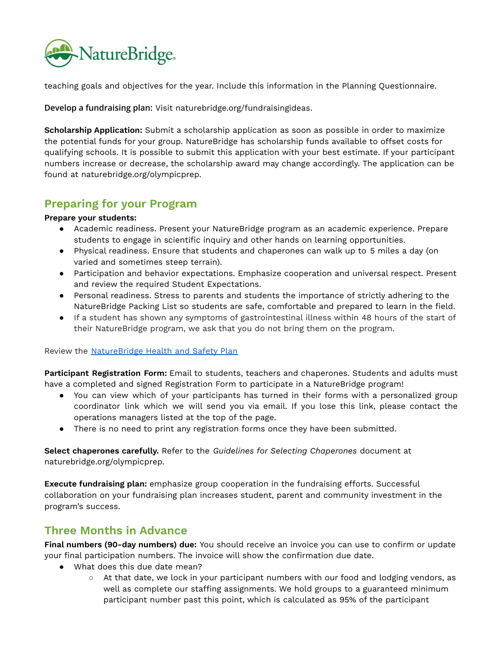

teaching goals and objectives for the year. Include this information in the Planning Questionnaire.

**Develop a fundraising plan:** Visit naturebridge.org/fundraisingideas.

**Scholarship Application:** Submit a scholarship application as soon as possible in order to maximize the potential funds for your group. NatureBridge has scholarship funds available to offset costs for qualifying schools. It is possible to submit this application with your best estimate. If your participant numbers increase or decrease, the scholarship award may change accordingly. The application can be found at naturebridge.org/olympicprep.

## **Preparing for your Program**

#### **Prepare your students:**

- Academic readiness. Present your NatureBridge program as an academic experience. Prepare students to engage in scientific inquiry and other hands on learning opportunities.
- Physical readiness. Ensure that students and chaperones can walk up to 5 miles a day (on varied and sometimes steep terrain).
- Participation and behavior expectations. Emphasize cooperation and universal respect. Present and review the required Student Expectations.
- Personal readiness. Stress to parents and students the importance of strictly adhering to the NatureBridge Packing List so students are safe, comfortable and prepared to learn in the field.
- If a student has shown any symptoms of gastrointestinal illness within 48 hours of the start of their NatureBridge program, we ask that you do not bring them on the program.

Review the [NatureBridge](https://docs.google.com/document/d/14C-adOg9QUz4BHDrA91LcuVX1W-zRE2gtG4SMj8FH1g/edit?usp=sharing) Health and Safety Plan

**Participant Registration Form:** Email to students, teachers and chaperones. Students and adults must have a completed and signed Registration Form to participate in a NatureBridge program!

- You can view which of your participants has turned in their forms with a personalized group coordinator link which we will send you via email. If you lose this link, please contact the operations managers listed at the top of the page.
- There is no need to print any registration forms once they have been submitted.

**Select chaperones carefully.** Refer to the *Guidelines for Selecting Chaperones* document at naturebridge.org/olympicprep.

**Execute fundraising plan:** emphasize group cooperation in the fundraising efforts. Successful collaboration on your fundraising plan increases student, parent and community investment in the program's success.

## **Three Months in Advance**

**Final numbers (90-day numbers) due:** You should receive an invoice you can use to confirm or update your final participation numbers. The invoice will show the confirmation due date.

- What does this due date mean?
	- At that date, we lock in your participant numbers with our food and lodging vendors, as well as complete our staffing assignments. We hold groups to a guaranteed minimum participant number past this point, which is calculated as 95% of the participant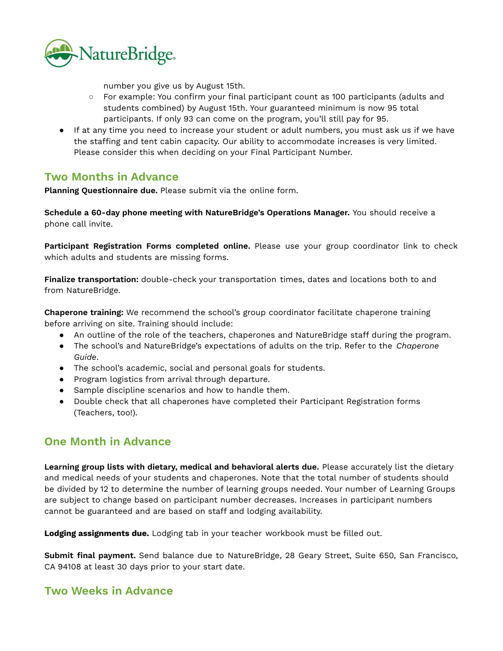

number you give us by August 15th.

- For example: You confirm your final participant count as 100 participants (adults and students combined) by August 15th. Your guaranteed minimum is now 95 total participants. If only 93 can come on the program, you'll still pay for 95.
- If at any time you need to increase your student or adult numbers, you must ask us if we have the staffing and tent cabin capacity. Our ability to accommodate increases is very limited. Please consider this when deciding on your Final Participant Number.

#### **Two Months in Advance**

**Planning Questionnaire due.** Please submit via the online form.

**Schedule a 60-day phone meeting with NatureBridge's Operations Manager.** You should receive a phone call invite.

**Participant Registration Forms completed online.** Please use your group coordinator link to check which adults and students are missing forms.

**Finalize transportation:** double-check your transportation times, dates and locations both to and from NatureBridge.

**Chaperone training:** We recommend the school's group coordinator facilitate chaperone training before arriving on site. Training should include:

- An outline of the role of the teachers, chaperones and NatureBridge staff during the program.
- The school's and NatureBridge's expectations of adults on the trip. Refer to the *Chaperone Guide*.
- The school's academic, social and personal goals for students.
- Program logistics from arrival through departure.
- Sample discipline scenarios and how to handle them.
- Double check that all chaperones have completed their Participant Registration forms (Teachers, too!).

## **One Month in Advance**

**Learning group lists with dietary, medical and behavioral alerts due.** Please accurately list the dietary and medical needs of your students and chaperones. Note that the total number of students should be divided by 12 to determine the number of learning groups needed. Your number of Learning Groups are subject to change based on participant number decreases. Increases in participant numbers cannot be guaranteed and are based on staff and lodging availability.

**Lodging assignments due.** Lodging tab in your teacher workbook must be filled out.

**Submit final payment.** Send balance due to NatureBridge, 28 Geary Street, Suite 650, San Francisco, CA 94108 at least 30 days prior to your start date.

## **Two Weeks in Advance**